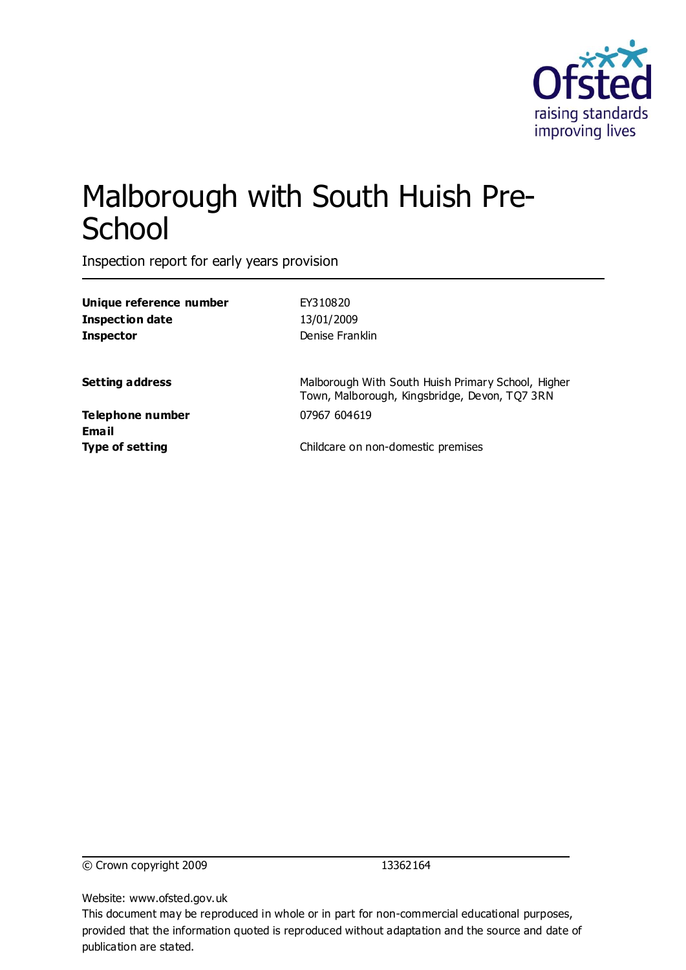

# Malborough with South Huish Pre-**School**

Inspection report for early years provision

| Unique reference number   | EY310820                                                                                            |
|---------------------------|-----------------------------------------------------------------------------------------------------|
| <b>Inspection date</b>    | 13/01/2009                                                                                          |
| <b>Inspector</b>          | Denise Franklin                                                                                     |
| Setting address           | Malborough With South Huish Primary School, Higher<br>Town, Malborough, Kingsbridge, Devon, TQ7 3RN |
| Telephone number<br>Email | 07967 604619                                                                                        |
| Type of setting           | Childcare on non-domestic premises                                                                  |
|                           |                                                                                                     |

© Crown copyright 2009 13362164

Website: www.ofsted.gov.uk

This document may be reproduced in whole or in part for non-commercial educational purposes, provided that the information quoted is reproduced without adaptation and the source and date of publication are stated.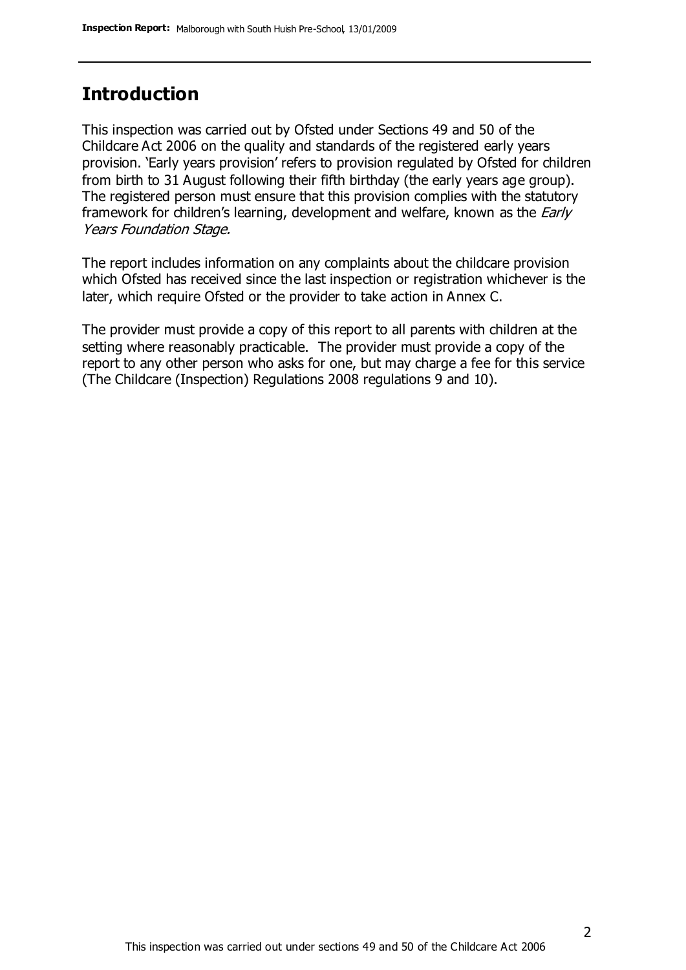# **Introduction**

This inspection was carried out by Ofsted under Sections 49 and 50 of the Childcare Act 2006 on the quality and standards of the registered early years provision. 'Early years provision' refers to provision regulated by Ofsted for children from birth to 31 August following their fifth birthday (the early years age group). The registered person must ensure that this provision complies with the statutory framework for children's learning, development and welfare, known as the *Early* Years Foundation Stage.

The report includes information on any complaints about the childcare provision which Ofsted has received since the last inspection or registration whichever is the later, which require Ofsted or the provider to take action in Annex C.

The provider must provide a copy of this report to all parents with children at the setting where reasonably practicable. The provider must provide a copy of the report to any other person who asks for one, but may charge a fee for this service (The Childcare (Inspection) Regulations 2008 regulations 9 and 10).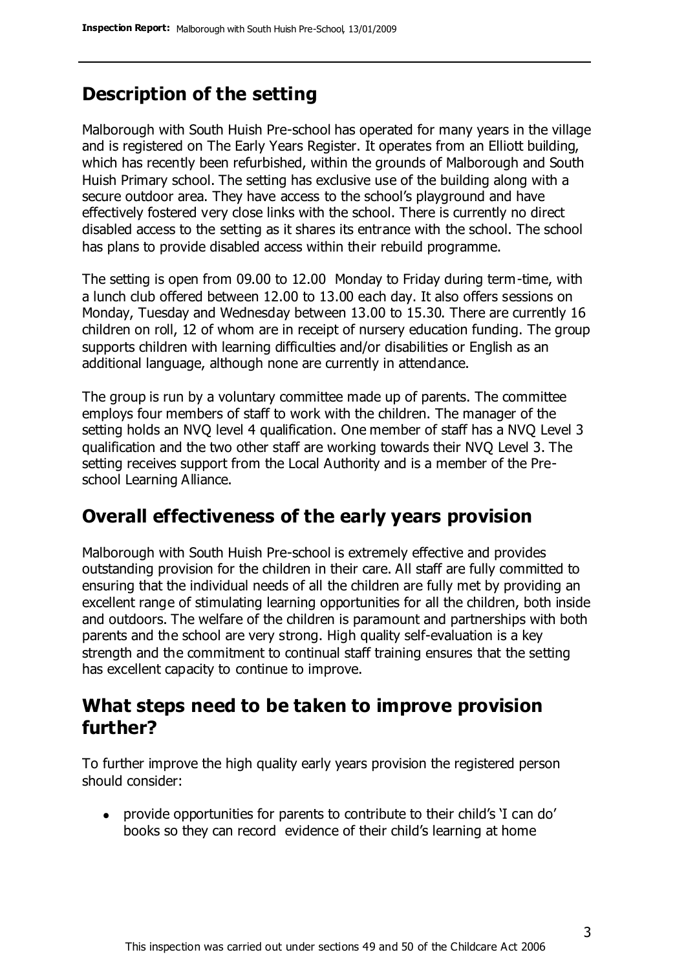# **Description of the setting**

Malborough with South Huish Pre-school has operated for many years in the village and is registered on The Early Years Register. It operates from an Elliott building, which has recently been refurbished, within the grounds of Malborough and South Huish Primary school. The setting has exclusive use of the building along with a secure outdoor area. They have access to the school's playground and have effectively fostered very close links with the school. There is currently no direct disabled access to the setting as it shares its entrance with the school. The school has plans to provide disabled access within their rebuild programme.

The setting is open from 09.00 to 12.00 Monday to Friday during term-time, with a lunch club offered between 12.00 to 13.00 each day. It also offers sessions on Monday, Tuesday and Wednesday between 13.00 to 15.30. There are currently 16 children on roll, 12 of whom are in receipt of nursery education funding. The group supports children with learning difficulties and/or disabilities or English as an additional language, although none are currently in attendance.

The group is run by a voluntary committee made up of parents. The committee employs four members of staff to work with the children. The manager of the setting holds an NVQ level 4 qualification. One member of staff has a NVQ Level 3 qualification and the two other staff are working towards their NVQ Level 3. The setting receives support from the Local Authority and is a member of the Preschool Learning Alliance.

# **Overall effectiveness of the early years provision**

Malborough with South Huish Pre-school is extremely effective and provides outstanding provision for the children in their care. All staff are fully committed to ensuring that the individual needs of all the children are fully met by providing an excellent range of stimulating learning opportunities for all the children, both inside and outdoors. The welfare of the children is paramount and partnerships with both parents and the school are very strong. High quality self-evaluation is a key strength and the commitment to continual staff training ensures that the setting has excellent capacity to continue to improve.

## **What steps need to be taken to improve provision further?**

To further improve the high quality early years provision the registered person should consider:

provide opportunities for parents to contribute to their child's 'I can do' books so they can record evidence of their child's learning at home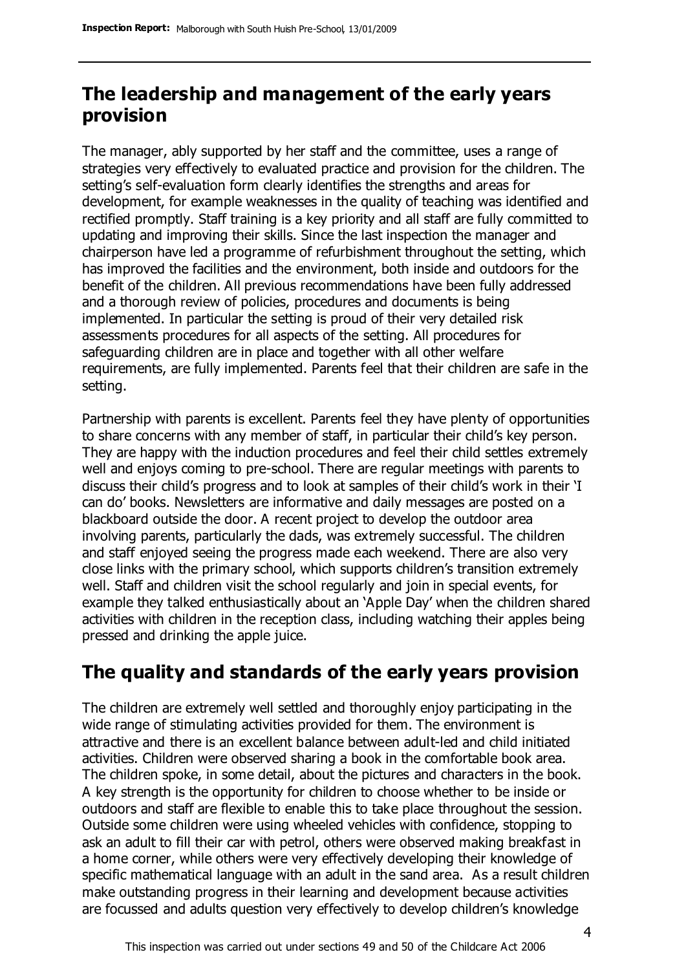# **The leadership and management of the early years provision**

The manager, ably supported by her staff and the committee, uses a range of strategies very effectively to evaluated practice and provision for the children. The setting's self-evaluation form clearly identifies the strengths and areas for development, for example weaknesses in the quality of teaching was identified and rectified promptly. Staff training is a key priority and all staff are fully committed to updating and improving their skills. Since the last inspection the manager and chairperson have led a programme of refurbishment throughout the setting, which has improved the facilities and the environment, both inside and outdoors for the benefit of the children. All previous recommendations have been fully addressed and a thorough review of policies, procedures and documents is being implemented. In particular the setting is proud of their very detailed risk assessments procedures for all aspects of the setting. All procedures for safeguarding children are in place and together with all other welfare requirements, are fully implemented. Parents feel that their children are safe in the setting.

Partnership with parents is excellent. Parents feel they have plenty of opportunities to share concerns with any member of staff, in particular their child's key person. They are happy with the induction procedures and feel their child settles extremely well and enjoys coming to pre-school. There are regular meetings with parents to discuss their child's progress and to look at samples of their child's work in their 'I can do' books. Newsletters are informative and daily messages are posted on a blackboard outside the door. A recent project to develop the outdoor area involving parents, particularly the dads, was extremely successful. The children and staff enjoyed seeing the progress made each weekend. There are also very close links with the primary school, which supports children's transition extremely well. Staff and children visit the school regularly and join in special events, for example they talked enthusiastically about an 'Apple Day' when the children shared activities with children in the reception class, including watching their apples being pressed and drinking the apple juice.

# **The quality and standards of the early years provision**

The children are extremely well settled and thoroughly enjoy participating in the wide range of stimulating activities provided for them. The environment is attractive and there is an excellent balance between adult-led and child initiated activities. Children were observed sharing a book in the comfortable book area. The children spoke, in some detail, about the pictures and characters in the book. A key strength is the opportunity for children to choose whether to be inside or outdoors and staff are flexible to enable this to take place throughout the session. Outside some children were using wheeled vehicles with confidence, stopping to ask an adult to fill their car with petrol, others were observed making breakfast in a home corner, while others were very effectively developing their knowledge of specific mathematical language with an adult in the sand area. As a result children make outstanding progress in their learning and development because activities are focussed and adults question very effectively to develop children's knowledge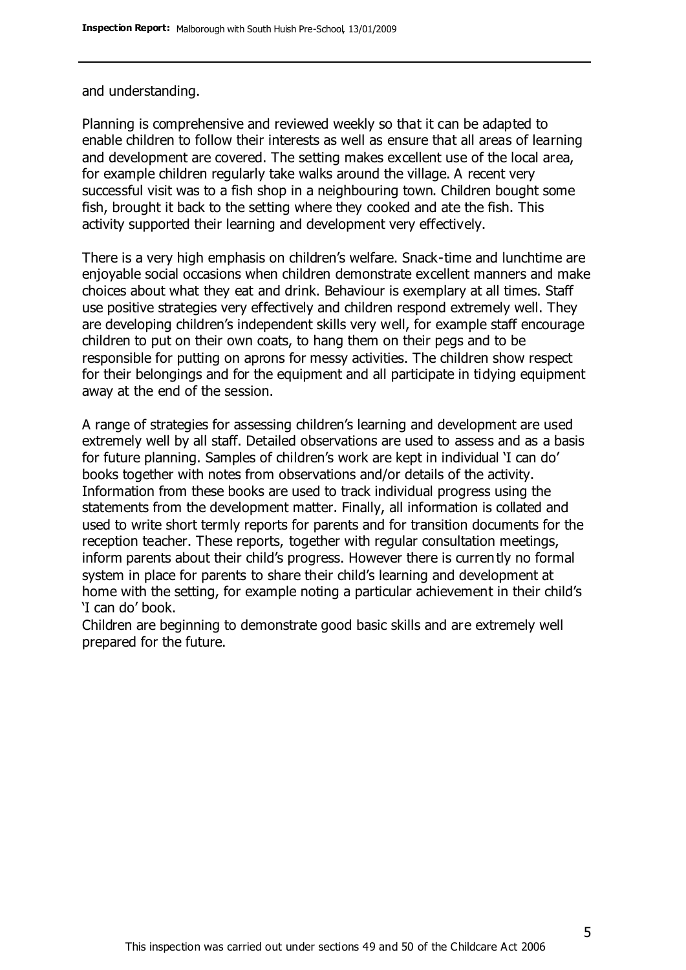#### and understanding.

Planning is comprehensive and reviewed weekly so that it can be adapted to enable children to follow their interests as well as ensure that all areas of learning and development are covered. The setting makes excellent use of the local area, for example children regularly take walks around the village. A recent very successful visit was to a fish shop in a neighbouring town. Children bought some fish, brought it back to the setting where they cooked and ate the fish. This activity supported their learning and development very effectively.

There is a very high emphasis on children's welfare. Snack-time and lunchtime are enjoyable social occasions when children demonstrate excellent manners and make choices about what they eat and drink. Behaviour is exemplary at all times. Staff use positive strategies very effectively and children respond extremely well. They are developing children's independent skills very well, for example staff encourage children to put on their own coats, to hang them on their pegs and to be responsible for putting on aprons for messy activities. The children show respect for their belongings and for the equipment and all participate in tidying equipment away at the end of the session.

A range of strategies for assessing children's learning and development are used extremely well by all staff. Detailed observations are used to assess and as a basis for future planning. Samples of children's work are kept in individual 'I can do' books together with notes from observations and/or details of the activity. Information from these books are used to track individual progress using the statements from the development matter. Finally, all information is collated and used to write short termly reports for parents and for transition documents for the reception teacher. These reports, together with regular consultation meetings, inform parents about their child's progress. However there is currently no formal system in place for parents to share their child's learning and development at home with the setting, for example noting a particular achievement in their child's 'I can do' book.

Children are beginning to demonstrate good basic skills and are extremely well prepared for the future.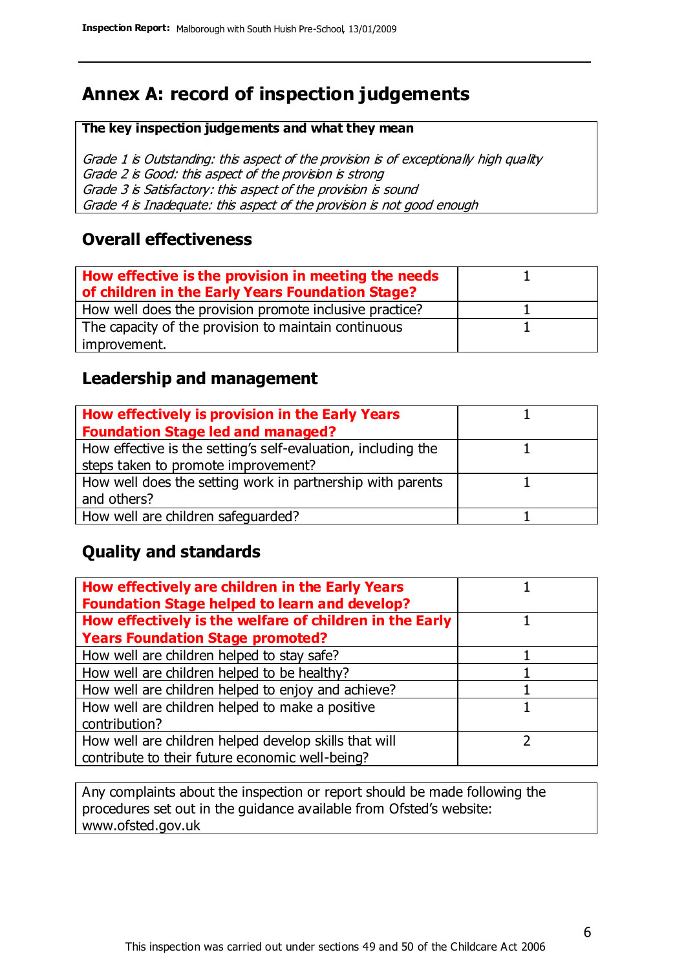# **Annex A: record of inspection judgements**

#### **The key inspection judgements and what they mean**

Grade 1 is Outstanding: this aspect of the provision is of exceptionally high quality Grade 2 is Good: this aspect of the provision is strong Grade 3 is Satisfactory: this aspect of the provision is sound Grade 4 is Inadequate: this aspect of the provision is not good enough

#### **Overall effectiveness**

| How effective is the provision in meeting the needs<br>of children in the Early Years Foundation Stage? |  |
|---------------------------------------------------------------------------------------------------------|--|
| How well does the provision promote inclusive practice?                                                 |  |
| The capacity of the provision to maintain continuous                                                    |  |
| improvement.                                                                                            |  |

#### **Leadership and management**

| How effectively is provision in the Early Years               |  |
|---------------------------------------------------------------|--|
| <b>Foundation Stage led and managed?</b>                      |  |
| How effective is the setting's self-evaluation, including the |  |
| steps taken to promote improvement?                           |  |
| How well does the setting work in partnership with parents    |  |
| and others?                                                   |  |
| How well are children safequarded?                            |  |

### **Quality and standards**

| How effectively are children in the Early Years<br><b>Foundation Stage helped to learn and develop?</b> |  |
|---------------------------------------------------------------------------------------------------------|--|
| How effectively is the welfare of children in the Early                                                 |  |
| <b>Years Foundation Stage promoted?</b>                                                                 |  |
| How well are children helped to stay safe?                                                              |  |
| How well are children helped to be healthy?                                                             |  |
| How well are children helped to enjoy and achieve?                                                      |  |
| How well are children helped to make a positive                                                         |  |
| contribution?                                                                                           |  |
| How well are children helped develop skills that will                                                   |  |
| contribute to their future economic well-being?                                                         |  |

Any complaints about the inspection or report should be made following the procedures set out in the guidance available from Ofsted's website: www.ofsted.gov.uk